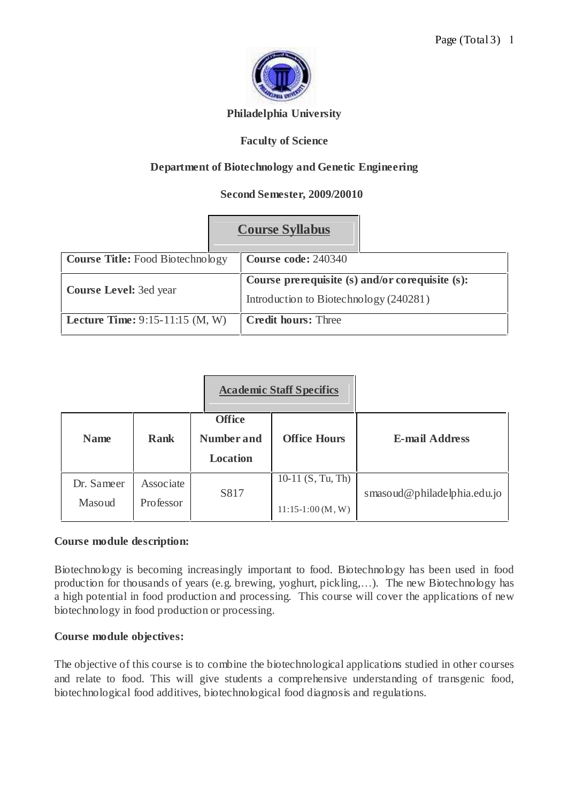

## **Philadelphia University**

## **Faculty of Science**

# **Department of Biotechnology and Genetic Engineering**

## **Second Semester, 2009/20010**

|                                          | <b>Course Syllabus</b>                          |  |  |
|------------------------------------------|-------------------------------------------------|--|--|
| <b>Course Title:</b> Food Biotechnology  | Course code: 240340                             |  |  |
| <b>Course Level: 3ed year</b>            | Course prerequisite (s) and/or corequisite (s): |  |  |
|                                          | Introduction to Biotechnology (240281)          |  |  |
| <b>Lecture Time:</b> $9:15-11:15$ (M, W) | <b>Credit hours: Three</b>                      |  |  |

|                      |                        |                                                       | <b>Academic Staff Specifics</b>          |                             |
|----------------------|------------------------|-------------------------------------------------------|------------------------------------------|-----------------------------|
| <b>Name</b>          | <b>Rank</b>            | <b>Office</b><br><b>Number and</b><br><b>Location</b> | <b>Office Hours</b>                      | <b>E-mail Address</b>       |
| Dr. Sameer<br>Masoud | Associate<br>Professor | S817                                                  | 10-11 $(S, Tu, Th)$<br>$11:15-1:00(M,W)$ | smasoud@philadelphia.edu.jo |

#### **Course module description:**

Biotechnology is becoming increasingly important to food. Biotechnology has been used in food production for thousands of years (e.g. brewing, yoghurt, pickling,...). The new Biotechnology has a high potential in food production and processing. This course will cover the applications of new biotechnology in food production or processing.

#### **Course module objectives:**

The objective of this course is to combine the biotechnological applications studied in other courses and relate to food. This will give students a comprehensive understanding of transgenic food, biotechnological food additives, biotechnological food diagnosis and regulations.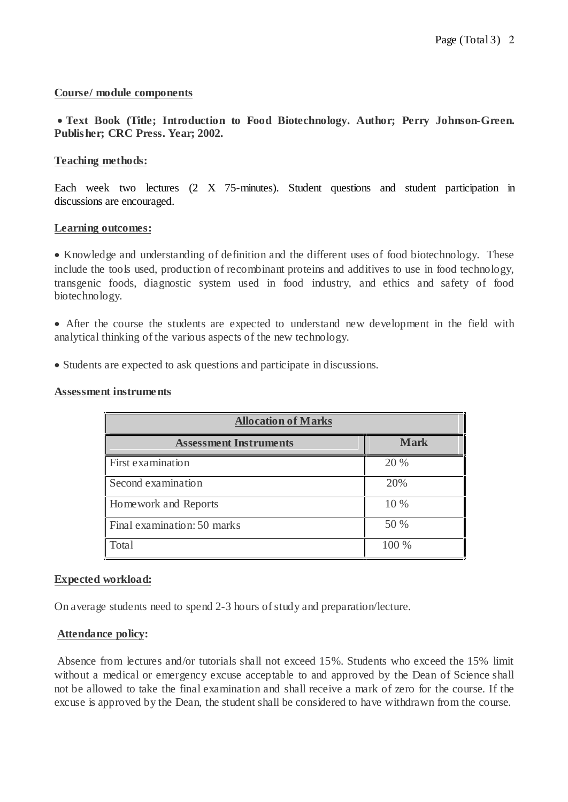## **Course/ module components**

## **Text Book (Title; Introduction to Food Biotechnology. Author; Perry Johnson-Green. Publisher; CRC Press. Year; 2002.**

## **Teaching methods:**

Each week two lectures (2 X 75-minutes). Student questions and student participation in discussions are encouraged.

## **Learning outcomes:**

• Knowledge and understanding of definition and the different uses of food biotechnology. These include the tools used, production of recombinant proteins and additives to use in food technology, transgenic foods, diagnostic system used in food industry, and ethics and safety of food biotechnology.

 After the course the students are expected to understand new development in the field with analytical thinking of the various aspects of the new technology.

Students are expected to ask questions and participate in discussions.

#### **Assessment instruments**

| <b>Allocation of Marks</b>    |             |  |  |  |
|-------------------------------|-------------|--|--|--|
| <b>Assessment Instruments</b> | <b>Mark</b> |  |  |  |
| First examination             | 20 %        |  |  |  |
| Second examination            | 20%         |  |  |  |
| Homework and Reports          | 10 %        |  |  |  |
| Final examination: 50 marks   | 50 %        |  |  |  |
| Total                         | 100 %       |  |  |  |

#### **Expected workload:**

On average students need to spend 2-3 hours of study and preparation/lecture.

#### **Attendance policy:**

Absence from lectures and/or tutorials shall not exceed 15%. Students who exceed the 15% limit without a medical or emergency excuse acceptable to and approved by the Dean of Science shall not be allowed to take the final examination and shall receive a mark of zero for the course. If the excuse is approved by the Dean, the student shall be considered to have withdrawn from the course.